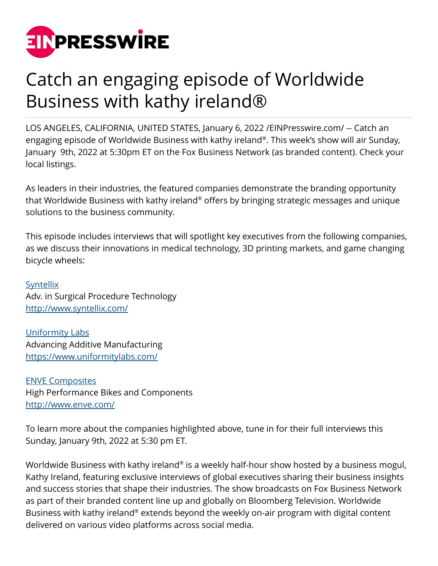

## Catch an engaging episode of Worldwide Business with kathy ireland®

LOS ANGELES, CALIFORNIA, UNITED STATES, January 6, 2022 /[EINPresswire.com/](http://www.einpresswire.com) -- Catch an engaging episode of Worldwide Business with kathy ireland® . This week's show will air Sunday, January 9th, 2022 at 5:30pm ET on the Fox Business Network (as branded content). Check your local listings.

As leaders in their industries, the featured companies demonstrate the branding opportunity that Worldwide Business with kathy ireland® offers by bringing strategic messages and unique solutions to the business community.

This episode includes interviews that will spotlight key executives from the following companies, as we discuss their innovations in medical technology, 3D printing markets, and game changing bicycle wheels:

**[Syntellix](http://www.syntellix.com/)** Adv. in Surgical Procedure Technology <http://www.syntellix.com/>

[Uniformity Labs](https://www.uniformitylabs.com/) Advancing Additive Manufacturing <https://www.uniformitylabs.com/>

[ENVE Composites](http://www.enve.com/) High Performance Bikes and Components <http://www.enve.com/>

To learn more about the companies highlighted above, tune in for their full interviews this Sunday, January 9th, 2022 at 5:30 pm ET.

Worldwide Business with kathy ireland® is a weekly half-hour show hosted by a business mogul, Kathy Ireland, featuring exclusive interviews of global executives sharing their business insights and success stories that shape their industries. The show broadcasts on Fox Business Network as part of their branded content line up and globally on Bloomberg Television. Worldwide Business with kathy ireland® extends beyond the weekly on-air program with digital content delivered on various video platforms across social media.